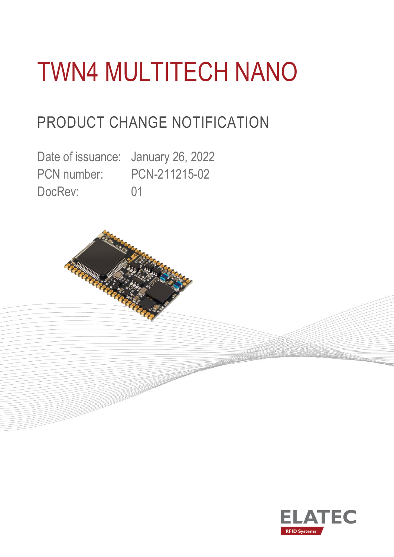# TWN4 MULTITECH NANO

### PRODUCT CHANGE NOTIFICATION

Date of issuance: January 26, 2022 PCN number: PCN-211215-02 DocRev: 01



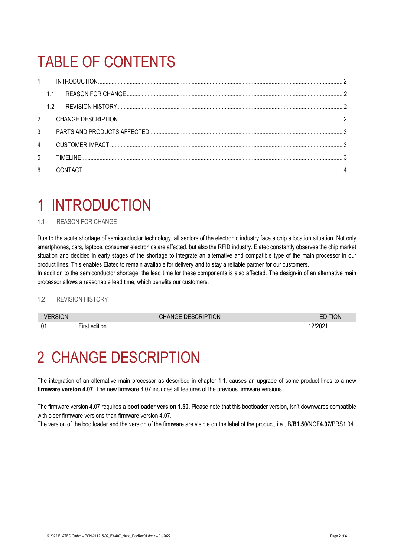# TABLE OF CONTENTS

| $1 \quad$      |     |  |  |  |  |  |
|----------------|-----|--|--|--|--|--|
|                | 1.1 |  |  |  |  |  |
|                | 1.2 |  |  |  |  |  |
| $2^{\circ}$    |     |  |  |  |  |  |
| $\mathcal{S}$  |     |  |  |  |  |  |
| $\overline{4}$ |     |  |  |  |  |  |
| 5              |     |  |  |  |  |  |
| $6\phantom{a}$ |     |  |  |  |  |  |

### <span id="page-1-0"></span>1 INTRODUCTION

#### <span id="page-1-1"></span>1.1 REASON FOR CHANGE

Due to the acute shortage of semiconductor technology, all sectors of the electronic industry face a chip allocation situation. Not only smartphones, cars, laptops, consumer electronics are affected, but also the RFID industry. Elatec constantly observes the chip market situation and decided in early stages of the shortage to integrate an alternative and compatible type of the main processor in our product lines. This enables Elatec to remain available for delivery and to stay a reliable partner for our customers.

In addition to the semiconductor shortage, the lead time for these components is also affected. The design-in of an alternative main processor allows a reasonable lead time, which benefits our customers.

#### <span id="page-1-2"></span>1.2 REVISION HISTORY

|                | <b>DESCRIPTION</b>                     |  | <b>ION</b><br>-- |
|----------------|----------------------------------------|--|------------------|
| 0 <sub>1</sub> | <br>$- \cdot$<br><b>rirs</b><br>ditior |  | LI LUL           |

#### <span id="page-1-3"></span>2 CHANGE DESCRIPTION

The integration of an alternative main processor as described in chapter 1.1. causes an upgrade of some product lines to a new **firmware version 4.07**. The new firmware 4.07 includes all features of the previous firmware versions.

The firmware version 4.07 requires a **bootloader version 1.50.** Please note that this bootloader version, isn't downwards compatible with older firmware versions than firmware version 4.07.

The version of the bootloader and the version of the firmware are visible on the label of the product, i.e., B/**B1.50**/NCF**4.07**/PRS1.04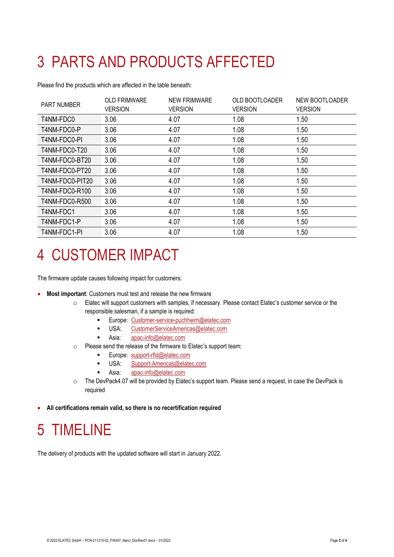# <span id="page-2-0"></span>3 PARTS AND PRODUCTS AFFECTED

Please find the products which are affected in the table beneath:

| <b>PART NUMBER</b>    | <b>OLD FRIMWARE</b><br><b>VERSION</b> | <b>NEW FRIMWARE</b><br><b>VERSION</b> | <b>OLD BOOTLOADER</b><br><b>VERSION</b> | NEW BOOTLOADER<br><b>VERSION</b> |
|-----------------------|---------------------------------------|---------------------------------------|-----------------------------------------|----------------------------------|
| T4NM-FDC0             | 3.06                                  | 4.07                                  | 1.08                                    | 1.50                             |
| T4NM-FDC0-P           | 3.06                                  | 4.07                                  | 1.08                                    | 1.50                             |
| T4NM-FDC0-PI          | 3.06                                  | 4.07                                  | 1.08                                    | 1.50                             |
| T4NM-FDC0-T20         | 3.06                                  | 4.07                                  | 1.08                                    | 1.50                             |
| T4NM-FDC0-BT20        | 3.06                                  | 4.07                                  | 1.08                                    | 1.50                             |
| T4NM-FDC0-PT20        | 3.06                                  | 4.07                                  | 1.08                                    | 1.50                             |
| T4NM-FDC0-PIT20       | 3.06                                  | 4.07                                  | 1.08                                    | 1.50                             |
| T4NM-FDC0-R100        | 3.06                                  | 4.07                                  | 1.08                                    | 1.50                             |
| <b>T4NM-FDC0-R500</b> | 3.06                                  | 4.07                                  | 1.08                                    | 1.50                             |
| T4NM-FDC1             | 3.06                                  | 4.07                                  | 1.08                                    | 1.50                             |
| T4NM-FDC1-P           | 3.06                                  | 4.07                                  | 1.08                                    | 1.50                             |
| T4NM-FDC1-PI          | 3.06                                  | 4.07                                  | 1.08                                    | 1.50                             |

### <span id="page-2-1"></span>4 CUSTOMER IMPACT

The firmware update causes following impact for customers:

- **Most important**: Customers must test and release the new firmware
	- o Elatec will support customers with samples, if necessary. Please contact Elatec's customer service or the responsible salesman, if a sample is required:
		- Europe: [Customer-service-puchheim@elatec.com](mailto:Customer-service-puchheim@elatec.com)
		- USA: [CustomerServiceAmericas@elatec.com](mailto:CustomerServiceAmericas@elatec.com)
		- Asia: [apac-info@elatec.com](mailto:apac-info@elatec.com)
	- o Please send the release of the firmware to Elatec's support team:
		- Europe: [support-rfid@elatec.com](mailto:support-rfid@elatec.com)
		- USA: [Support-Americas@elatec.com](mailto:Support-Americas@elatec.com)
		- Asia: [apac-info@elatec.com](mailto:apac-info@elatec.com)
	- o The DevPack4.07 will be provided by Elatec's support team. Please send a request, in case the DevPack is required
- <span id="page-2-2"></span>• **All certifications remain valid, so there is no recertification required**

### 5 TIMELINE

The delivery of products with the updated software will start in January 2022.